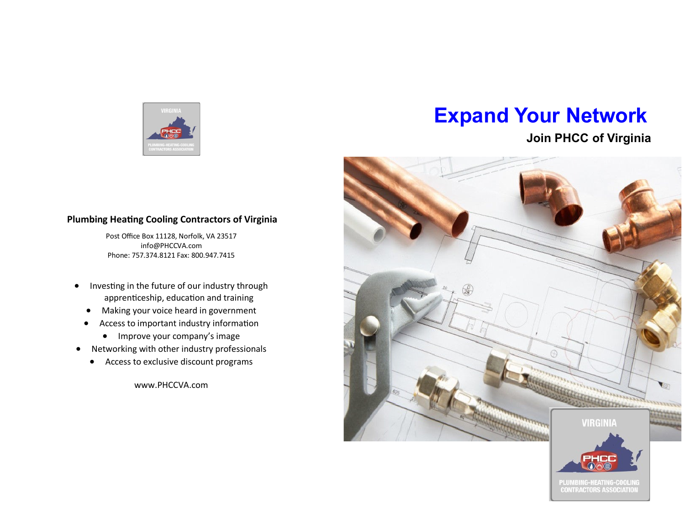

# **Expand Your Network**

### **Join PHCC of Virginia**

# Barrow **VIRGINIA** PLUMBING-HEATING-COOLING **CONTRACTORS ASSOCIATION**

#### **Plumbing Heating Cooling Contractors of Virginia**

Post Office Box 11128, Norfolk, VA 23517 info@PHCCVA.com Phone: 757.374.8121 Fax: 800.947.7415

- Investing in the future of our industry through apprenticeship, education and training
	- Making your voice heard in government
	- Access to important industry information
		- Improve your company's image
- Networking with other industry professionals
	- Access to exclusive discount programs

www.PHCCVA.com